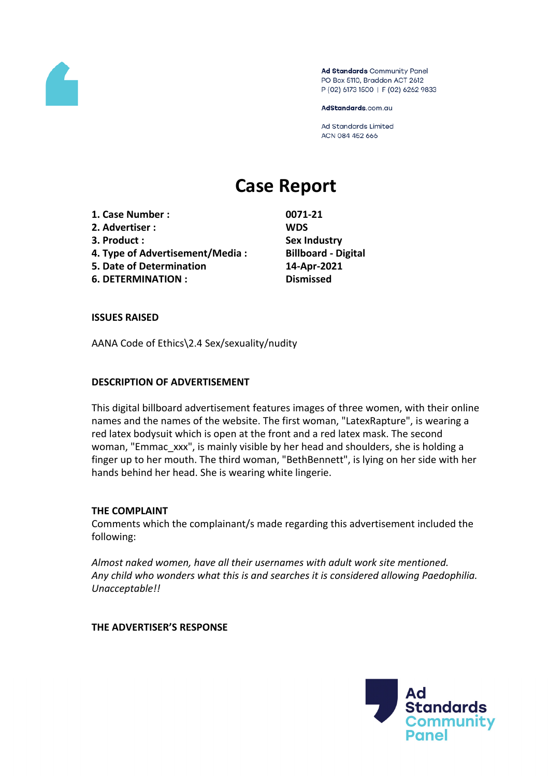

Ad Standards Community Panel PO Box 5110, Braddon ACT 2612 P (02) 6173 1500 | F (02) 6262 9833

AdStandards.com.au

**Ad Standards Limited** ACN 084 452 666

# **Case Report**

- **1. Case Number : 0071-21**
- **2. Advertiser : WDS**
- 
- **4. Type of Advertisement/Media : Billboard - Digital**
- **5. Date of Determination 14-Apr-2021**
- **6. DETERMINATION : Dismissed**

**3. Product : Sex Industry**

# **ISSUES RAISED**

AANA Code of Ethics\2.4 Sex/sexuality/nudity

## **DESCRIPTION OF ADVERTISEMENT**

This digital billboard advertisement features images of three women, with their online names and the names of the website. The first woman, "LatexRapture", is wearing a red latex bodysuit which is open at the front and a red latex mask. The second woman, "Emmac\_xxx", is mainly visible by her head and shoulders, she is holding a finger up to her mouth. The third woman, "BethBennett", is lying on her side with her hands behind her head. She is wearing white lingerie.

# **THE COMPLAINT**

Comments which the complainant/s made regarding this advertisement included the following:

*Almost naked women, have all their usernames with adult work site mentioned. Any child who wonders what this is and searches it is considered allowing Paedophilia. Unacceptable!!*

**THE ADVERTISER'S RESPONSE**

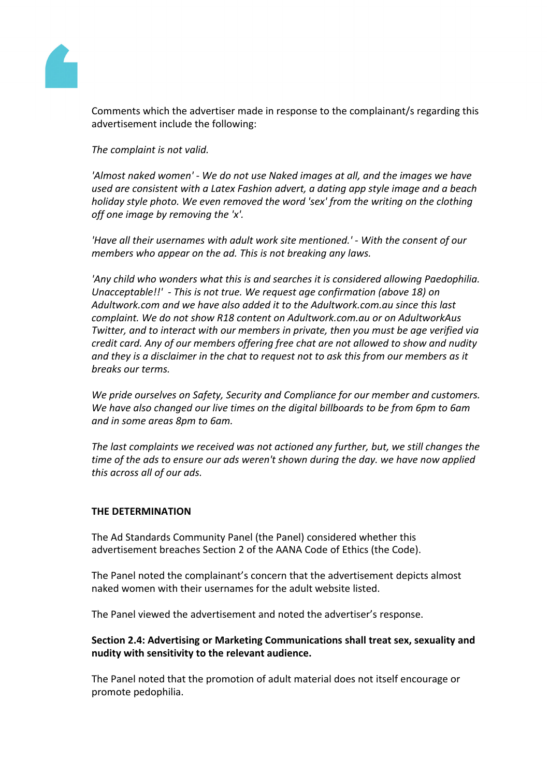

Comments which the advertiser made in response to the complainant/s regarding this advertisement include the following:

*The complaint is not valid.*

*'Almost naked women' - We do not use Naked images at all, and the images we have used are consistent with a Latex Fashion advert, a dating app style image and a beach holiday style photo. We even removed the word 'sex' from the writing on the clothing off one image by removing the 'x'.*

*'Have all their usernames with adult work site mentioned.' - With the consent of our members who appear on the ad. This is not breaking any laws.*

*'Any child who wonders what this is and searches it is considered allowing Paedophilia. Unacceptable!!' - This is not true. We request age confirmation (above 18) on Adultwork.com and we have also added it to the Adultwork.com.au since this last complaint. We do not show R18 content on Adultwork.com.au or on AdultworkAus Twitter, and to interact with our members in private, then you must be age verified via credit card. Any of our members offering free chat are not allowed to show and nudity and they is a disclaimer in the chat to request not to ask this from our members as it breaks our terms.*

*We pride ourselves on Safety, Security and Compliance for our member and customers. We have also changed our live times on the digital billboards to be from 6pm to 6am and in some areas 8pm to 6am.*

*The last complaints we received was not actioned any further, but, we still changes the time of the ads to ensure our ads weren't shown during the day. we have now applied this across all of our ads.*

#### **THE DETERMINATION**

The Ad Standards Community Panel (the Panel) considered whether this advertisement breaches Section 2 of the AANA Code of Ethics (the Code).

The Panel noted the complainant's concern that the advertisement depicts almost naked women with their usernames for the adult website listed.

The Panel viewed the advertisement and noted the advertiser's response.

**Section 2.4: Advertising or Marketing Communications shall treat sex, sexuality and nudity with sensitivity to the relevant audience.**

The Panel noted that the promotion of adult material does not itself encourage or promote pedophilia.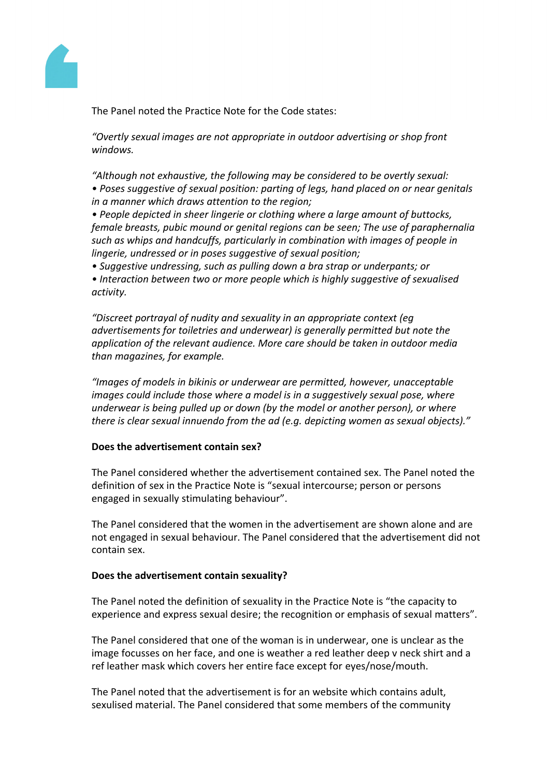

The Panel noted the Practice Note for the Code states:

*"Overtly sexual images are not appropriate in outdoor advertising or shop front windows.*

*"Although not exhaustive, the following may be considered to be overtly sexual: • Poses suggestive of sexual position: parting of legs, hand placed on or near genitals in a manner which draws attention to the region;*

*• People depicted in sheer lingerie or clothing where a large amount of buttocks, female breasts, pubic mound or genital regions can be seen; The use of paraphernalia such as whips and handcuffs, particularly in combination with images of people in lingerie, undressed or in poses suggestive of sexual position;*

*• Suggestive undressing, such as pulling down a bra strap or underpants; or*

*• Interaction between two or more people which is highly suggestive of sexualised activity.*

*"Discreet portrayal of nudity and sexuality in an appropriate context (eg advertisements for toiletries and underwear) is generally permitted but note the application of the relevant audience. More care should be taken in outdoor media than magazines, for example.*

*"Images of models in bikinis or underwear are permitted, however, unacceptable images could include those where a model is in a suggestively sexual pose, where underwear is being pulled up or down (by the model or another person), or where there is clear sexual innuendo from the ad (e.g. depicting women as sexual objects)."*

# **Does the advertisement contain sex?**

The Panel considered whether the advertisement contained sex. The Panel noted the definition of sex in the Practice Note is "sexual intercourse; person or persons engaged in sexually stimulating behaviour".

The Panel considered that the women in the advertisement are shown alone and are not engaged in sexual behaviour. The Panel considered that the advertisement did not contain sex.

#### **Does the advertisement contain sexuality?**

The Panel noted the definition of sexuality in the Practice Note is "the capacity to experience and express sexual desire; the recognition or emphasis of sexual matters".

The Panel considered that one of the woman is in underwear, one is unclear as the image focusses on her face, and one is weather a red leather deep v neck shirt and a ref leather mask which covers her entire face except for eyes/nose/mouth.

The Panel noted that the advertisement is for an website which contains adult, sexulised material. The Panel considered that some members of the community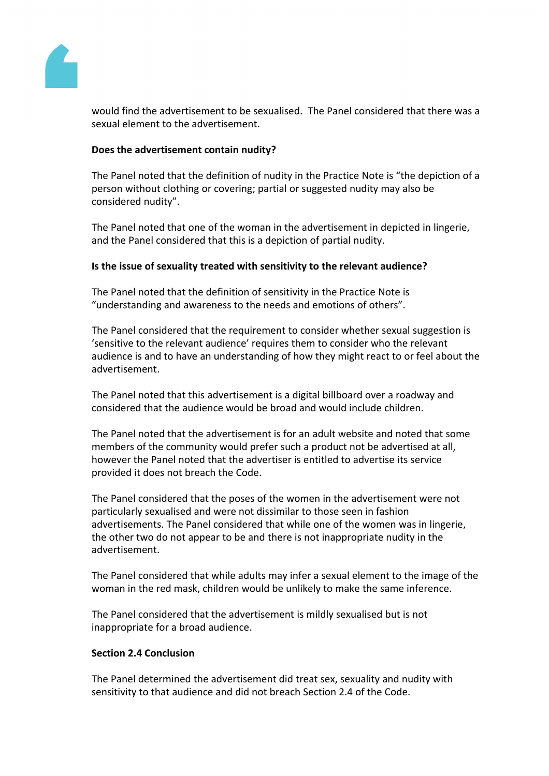

would find the advertisement to be sexualised. The Panel considered that there was a sexual element to the advertisement.

#### **Does the advertisement contain nudity?**

The Panel noted that the definition of nudity in the Practice Note is "the depiction of a person without clothing or covering; partial or suggested nudity may also be considered nudity".

The Panel noted that one of the woman in the advertisement in depicted in lingerie, and the Panel considered that this is a depiction of partial nudity.

#### **Is the issue of sexuality treated with sensitivity to the relevant audience?**

The Panel noted that the definition of sensitivity in the Practice Note is "understanding and awareness to the needs and emotions of others".

The Panel considered that the requirement to consider whether sexual suggestion is 'sensitive to the relevant audience' requires them to consider who the relevant audience is and to have an understanding of how they might react to or feel about the advertisement.

The Panel noted that this advertisement is a digital billboard over a roadway and considered that the audience would be broad and would include children.

The Panel noted that the advertisement is for an adult website and noted that some members of the community would prefer such a product not be advertised at all, however the Panel noted that the advertiser is entitled to advertise its service provided it does not breach the Code.

The Panel considered that the poses of the women in the advertisement were not particularly sexualised and were not dissimilar to those seen in fashion advertisements. The Panel considered that while one of the women was in lingerie, the other two do not appear to be and there is not inappropriate nudity in the advertisement.

The Panel considered that while adults may infer a sexual element to the image of the woman in the red mask, children would be unlikely to make the same inference.

The Panel considered that the advertisement is mildly sexualised but is not inappropriate for a broad audience.

## **Section 2.4 Conclusion**

The Panel determined the advertisement did treat sex, sexuality and nudity with sensitivity to that audience and did not breach Section 2.4 of the Code.